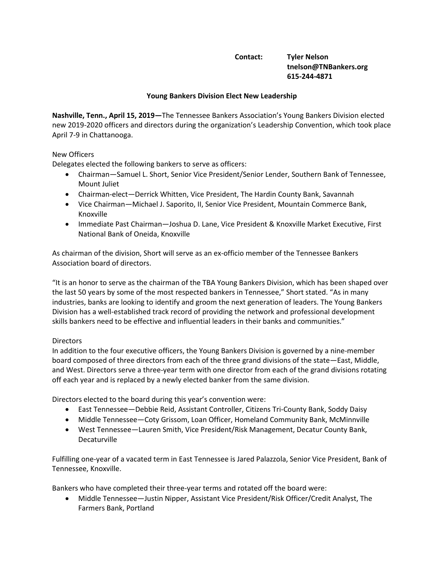# **Contact: Tyler Nelson tnelson@TNBankers.org 615-244-4871**

## **Young Bankers Division Elect New Leadership**

**Nashville, Tenn., April 15, 2019—**The Tennessee Bankers Association's Young Bankers Division elected new 2019-2020 officers and directors during the organization's Leadership Convention, which took place April 7-9 in Chattanooga.

## New Officers

Delegates elected the following bankers to serve as officers:

- Chairman—Samuel L. Short, Senior Vice President/Senior Lender, Southern Bank of Tennessee, Mount Juliet
- Chairman-elect—Derrick Whitten, Vice President, The Hardin County Bank, Savannah
- Vice Chairman—Michael J. Saporito, II, Senior Vice President, Mountain Commerce Bank, Knoxville
- Immediate Past Chairman—Joshua D. Lane, Vice President & Knoxville Market Executive, First National Bank of Oneida, Knoxville

As chairman of the division, Short will serve as an ex-officio member of the Tennessee Bankers Association board of directors.

"It is an honor to serve as the chairman of the TBA Young Bankers Division, which has been shaped over the last 50 years by some of the most respected bankers in Tennessee," Short stated. "As in many industries, banks are looking to identify and groom the next generation of leaders. The Young Bankers Division has a well-established track record of providing the network and professional development skills bankers need to be effective and influential leaders in their banks and communities."

### **Directors**

In addition to the four executive officers, the Young Bankers Division is governed by a nine-member board composed of three directors from each of the three grand divisions of the state—East, Middle, and West. Directors serve a three-year term with one director from each of the grand divisions rotating off each year and is replaced by a newly elected banker from the same division.

Directors elected to the board during this year's convention were:

- East Tennessee—Debbie Reid, Assistant Controller, Citizens Tri-County Bank, Soddy Daisy
- Middle Tennessee—Coty Grissom, Loan Officer, Homeland Community Bank, McMinnville
- West Tennessee—Lauren Smith, Vice President/Risk Management, Decatur County Bank, Decaturville

Fulfilling one-year of a vacated term in East Tennessee is Jared Palazzola, Senior Vice President, Bank of Tennessee, Knoxville.

Bankers who have completed their three-year terms and rotated off the board were:

• Middle Tennessee—Justin Nipper, Assistant Vice President/Risk Officer/Credit Analyst, The Farmers Bank, Portland